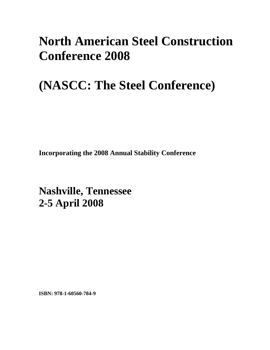## **North American Steel Construction Conference 2008**

# **(NASCC: The Steel Conference)**

**Incorporating the 2008 Annual Stability Conference** 

**Nashville, Tennessee 2-5 April 2008**

**ISBN: 978-1-60560-784-9**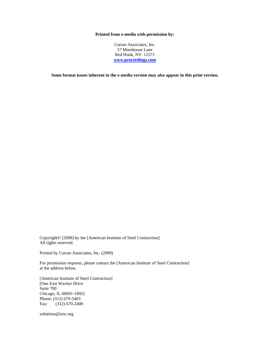#### **Printed from e-media with permission by:**

Curran Associates, Inc. 57 Morehouse Lane Red Hook, NY 12571 **[www.proceedings.com](http://www.proceedings.com/)**

**Some format issues inherent in the e-media version may also appear in this print version.** 

Copyright© (2008) by the [American Institute of Steel Contruction] All rights reserved.

Printed by Curran Associates, Inc. (2009)

For permission requests, please contact the [American Institute of Steel Contruction] at the address below.

[American Institute of Steel Contruction] [One East Wacker Drive Suite 700 Chicago, IL 60601-1802] Phone: (312) 670-5403 Fax: (312) 670-2400

solutions@aisc.org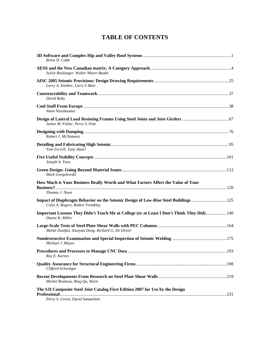### **TABLE OF CONTENTS**

| Brian D. Cobb                                                                                                         |  |
|-----------------------------------------------------------------------------------------------------------------------|--|
| Sylvie Boulanger, Walter Meyer-Boake                                                                                  |  |
| Larry A. Kloiber, Larry S Muir                                                                                        |  |
| David Ruby                                                                                                            |  |
| Alain Nussbaumer                                                                                                      |  |
| James M. Fisher, Perry S. Pote                                                                                        |  |
| Robert J. McNamara                                                                                                    |  |
| Tom Ferrell, Tony Hazel                                                                                               |  |
| Joseph A. Yura                                                                                                        |  |
| Mark Gorgolewski                                                                                                      |  |
| How Much is Your Business Really Worth and What Factors Affect the Value of Your                                      |  |
| Thomas J. Noon                                                                                                        |  |
| Impact of Diaphragm Behavior on the Seismic Design of Low-Rise Steel Buildings125<br>Colin A. Rogers, Robert Tremblay |  |
| Important Lessons They Didn't Teach Me at College (or at Least I Don't Think They Did) 140<br>Duane K. Miller         |  |
| Mehdi Dastfan, Xiaoyan Deng, Richard G. De Driver                                                                     |  |
| Michael J. Mayes                                                                                                      |  |
| Roy E. Karnes                                                                                                         |  |
| Clifford Schwinger                                                                                                    |  |
| Michel Bruneau, Bing Qu, Warn                                                                                         |  |
| The SJI Composite Steel Joist Catalog First Edition 2007 for Use by the Design<br>Perry S. Green, David Samuelson     |  |